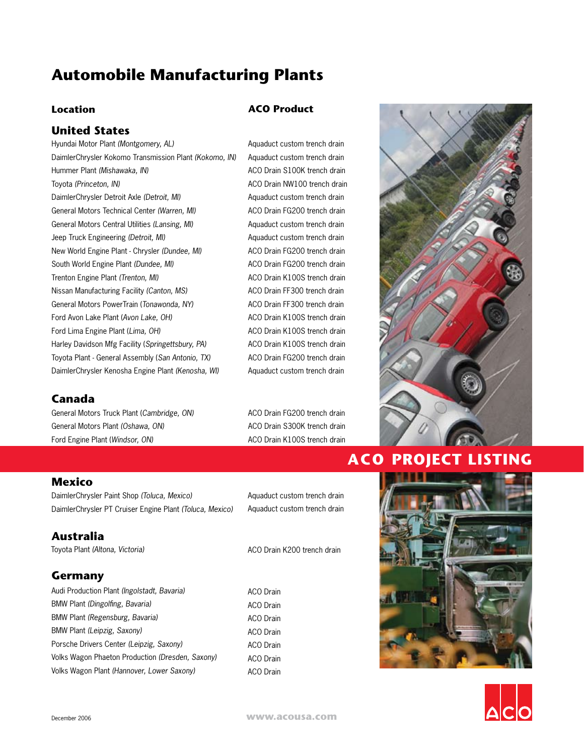# **Automobile Manufacturing Plants**

#### **Location**

### **United States**

Hyundai Motor Plant *(Montgomery, AL)* DaimlerChrysler Kokomo Transmission Plant *(Kokomo, IN)* Hummer Plant *(Mishawaka, IN)* Toyota *(Princeton, IN)* DaimlerChrysler Detroit Axle *(Detroit, MI)* General Motors Technical Center *(Warren, MI)* General Motors Central Utilities *(Lansing, MI)* Jeep Truck Engineering *(Detroit, MI)* New World Engine Plant - Chrysler *(Dundee, MI)* South World Engine Plant *(Dundee, MI)* Trenton Engine Plant *(Trenton, MI)* Nissan Manufacturing Facility *(Canton, MS)* General Motors PowerTrain (*Tonawonda, NY)* Ford Avon Lake Plant (*Avon Lake, OH)* Ford Lima Engine Plant (*Lima, OH)* Harley Davidson Mfg Facility (*Springettsbury, PA)* Toyota Plant - General Assembly (*San Antonio, TX)* DaimlerChrysler Kenosha Engine Plant *(Kenosha, WI)*

### **ACO Product**

Aquaduct custom trench drain Aquaduct custom trench drain ACO Drain S100K trench drain ACO Drain NW100 trench drain Aquaduct custom trench drain ACO Drain FG200 trench drain Aquaduct custom trench drain Aquaduct custom trench drain ACO Drain FG200 trench drain ACO Drain FG200 trench drain ACO Drain K100S trench drain ACO Drain FF300 trench drain ACO Drain FF300 trench drain ACO Drain K100S trench drain ACO Drain K100S trench drain ACO Drain K100S trench drain ACO Drain FG200 trench drain Aquaduct custom trench drain

## **Canada**

General Motors Truck Plant (*Cambridge, ON)* General Motors Plant *(Oshawa, ON)* Ford Engine Plant (*Windsor, ON)*

ACO Drain FG200 trench drain ACO Drain S300K trench drain ACO Drain K100S trench drain

#### **Mexico**

DaimlerChrysler Paint Shop *(Toluca, Mexico)* DaimlerChrysler PT Cruiser Engine Plant *(Toluca, Mexico)*

Aquaduct custom trench drain Aquaduct custom trench drain

ACO Drain K200 trench drain

| Germany         |
|-----------------|
| Audi Production |

**Australia**

Toyota Plant *(Altona, Victoria)*

| Audi Production Plant (Ingolstadt, Bavaria)      |  |
|--------------------------------------------------|--|
| BMW Plant (Dingolfing, Bavaria)                  |  |
| BMW Plant (Regensburg, Bavaria)                  |  |
| BMW Plant (Leipzig, Saxony)                      |  |
| Porsche Drivers Center (Leipzig, Saxony)         |  |
| Volks Wagon Phaeton Production (Dresden, Saxony) |  |
| Volks Wagon Plant (Hannover, Lower Saxony)       |  |





# **ACO PROJECT LISTING**